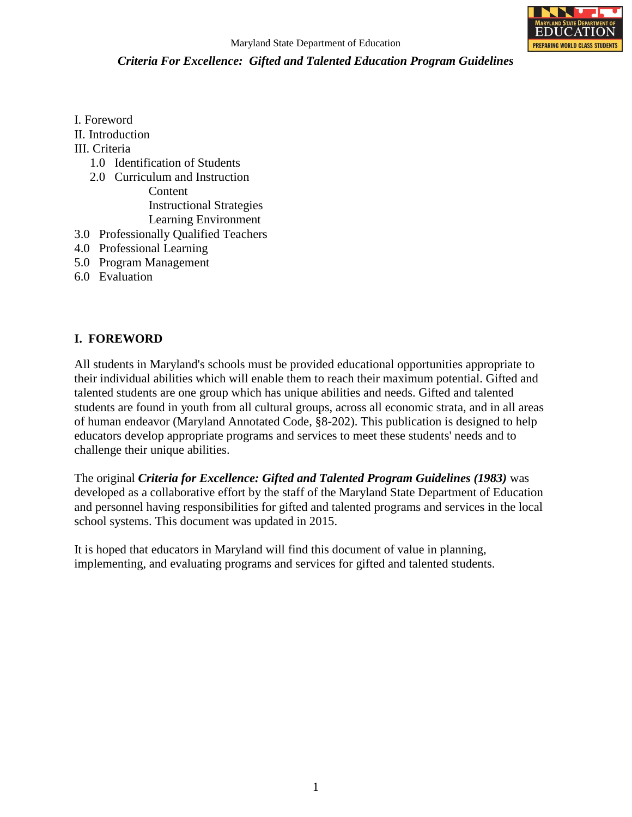

- I. Foreword II. Introduction
- III. Criteria
	- 1.0 Identification of Students
	- 2.0 Curriculum and Instruction Content Instructional Strategies Learning Environment
- 3.0 Professionally Qualified Teachers
- 4.0 Professional Learning
- 5.0 Program Management
- 6.0 Evaluation

#### **I. FOREWORD**

All students in Maryland's schools must be provided educational opportunities appropriate to their individual abilities which will enable them to reach their maximum potential. Gifted and talented students are one group which has unique abilities and needs. Gifted and talented students are found in youth from all cultural groups, across all economic strata, and in all areas of human endeavor (Maryland Annotated Code, §8-202). This publication is designed to help educators develop appropriate programs and services to meet these students' needs and to challenge their unique abilities.

The original *Criteria for Excellence: Gifted and Talented Program Guidelines (1983)* was developed as a collaborative effort by the staff of the Maryland State Department of Education and personnel having responsibilities for gifted and talented programs and services in the local school systems. This document was updated in 2015.

It is hoped that educators in Maryland will find this document of value in planning, implementing, and evaluating programs and services for gifted and talented students.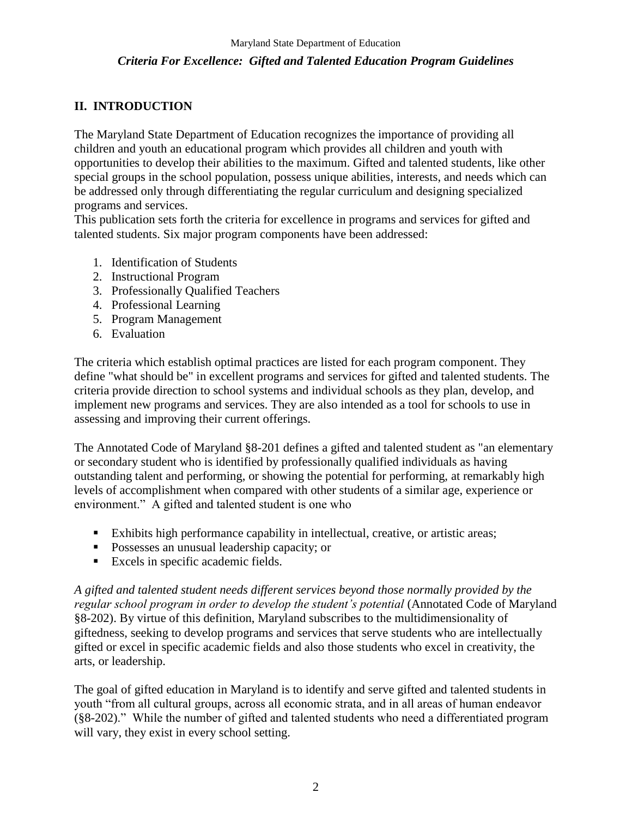# **II. INTRODUCTION**

The Maryland State Department of Education recognizes the importance of providing all children and youth an educational program which provides all children and youth with opportunities to develop their abilities to the maximum. Gifted and talented students, like other special groups in the school population, possess unique abilities, interests, and needs which can be addressed only through differentiating the regular curriculum and designing specialized programs and services.

This publication sets forth the criteria for excellence in programs and services for gifted and talented students. Six major program components have been addressed:

- 1. Identification of Students
- 2. Instructional Program
- 3. Professionally Qualified Teachers
- 4. Professional Learning
- 5. Program Management
- 6. Evaluation

The criteria which establish optimal practices are listed for each program component. They define "what should be" in excellent programs and services for gifted and talented students. The criteria provide direction to school systems and individual schools as they plan, develop, and implement new programs and services. They are also intended as a tool for schools to use in assessing and improving their current offerings.

The Annotated Code of Maryland §8-201 defines a gifted and talented student as "an elementary or secondary student who is identified by professionally qualified individuals as having outstanding talent and performing, or showing the potential for performing, at remarkably high levels of accomplishment when compared with other students of a similar age, experience or environment." A gifted and talented student is one who

- Exhibits high performance capability in intellectual, creative, or artistic areas;
- **Possesses an unusual leadership capacity; or**
- **Excels in specific academic fields.**

*A gifted and talented student needs different services beyond those normally provided by the regular school program in order to develop the student's potential* (Annotated Code of Maryland §8-202). By virtue of this definition, Maryland subscribes to the multidimensionality of giftedness, seeking to develop programs and services that serve students who are intellectually gifted or excel in specific academic fields and also those students who excel in creativity, the arts, or leadership.

The goal of gifted education in Maryland is to identify and serve gifted and talented students in youth "from all cultural groups, across all economic strata, and in all areas of human endeavor (§8-202)." While the number of gifted and talented students who need a differentiated program will vary, they exist in every school setting.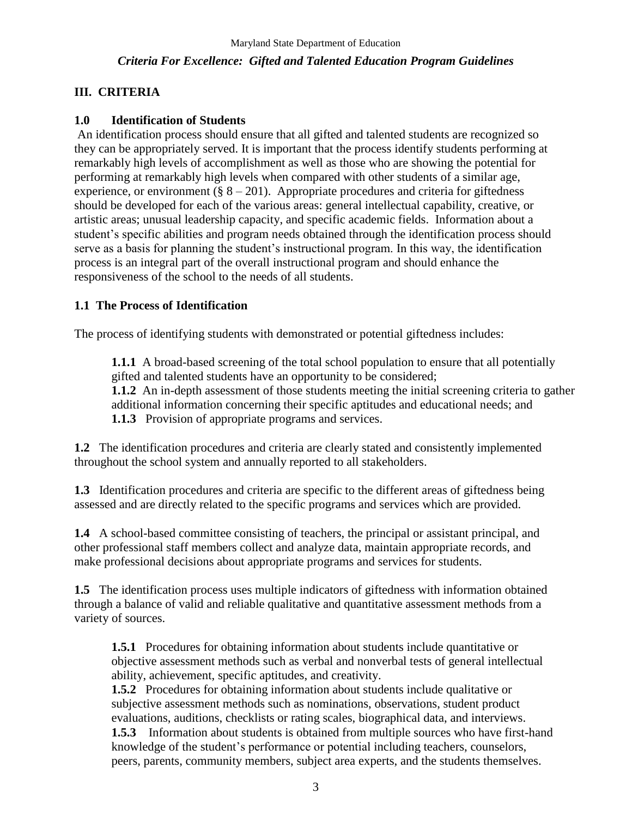## **III. CRITERIA**

#### **1.0 Identification of Students**

An identification process should ensure that all gifted and talented students are recognized so they can be appropriately served. It is important that the process identify students performing at remarkably high levels of accomplishment as well as those who are showing the potential for performing at remarkably high levels when compared with other students of a similar age, experience, or environment ( $\S$  8 – 201). Appropriate procedures and criteria for giftedness should be developed for each of the various areas: general intellectual capability, creative, or artistic areas; unusual leadership capacity, and specific academic fields. Information about a student's specific abilities and program needs obtained through the identification process should serve as a basis for planning the student's instructional program. In this way, the identification process is an integral part of the overall instructional program and should enhance the responsiveness of the school to the needs of all students.

## **1.1 The Process of Identification**

The process of identifying students with demonstrated or potential giftedness includes:

**1.1.1** A broad-based screening of the total school population to ensure that all potentially gifted and talented students have an opportunity to be considered; **1.1.2** An in-depth assessment of those students meeting the initial screening criteria to gather additional information concerning their specific aptitudes and educational needs; and

**1.1.3** Provision of appropriate programs and services.

**1.2** The identification procedures and criteria are clearly stated and consistently implemented throughout the school system and annually reported to all stakeholders.

**1.3** Identification procedures and criteria are specific to the different areas of giftedness being assessed and are directly related to the specific programs and services which are provided.

**1.4** A school-based committee consisting of teachers, the principal or assistant principal, and other professional staff members collect and analyze data, maintain appropriate records, and make professional decisions about appropriate programs and services for students.

**1.5** The identification process uses multiple indicators of giftedness with information obtained through a balance of valid and reliable qualitative and quantitative assessment methods from a variety of sources.

**1.5.1** Procedures for obtaining information about students include quantitative or objective assessment methods such as verbal and nonverbal tests of general intellectual ability, achievement, specific aptitudes, and creativity.

**1.5.2** Procedures for obtaining information about students include qualitative or subjective assessment methods such as nominations, observations, student product evaluations, auditions, checklists or rating scales, biographical data, and interviews.

**1.5.3** Information about students is obtained from multiple sources who have first-hand knowledge of the student's performance or potential including teachers, counselors, peers, parents, community members, subject area experts, and the students themselves.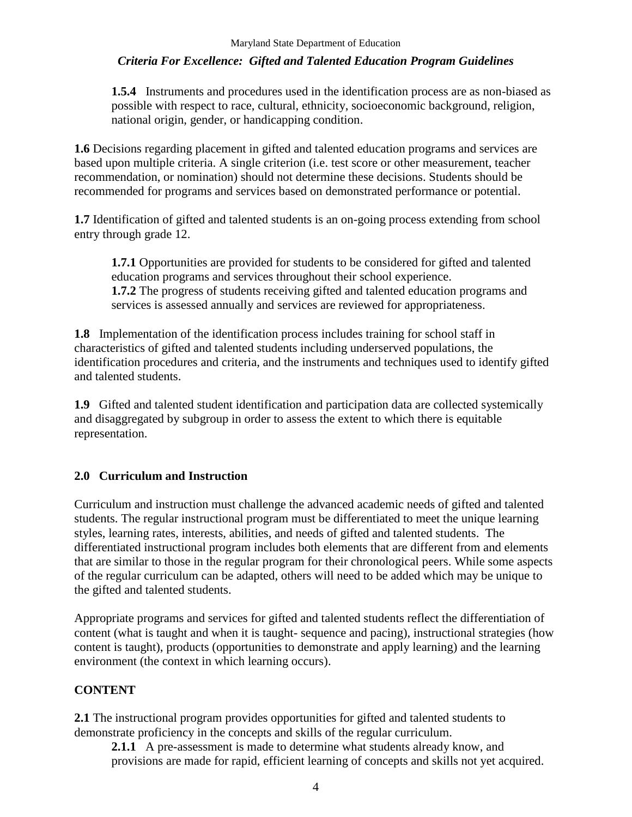**1.5.4** Instruments and procedures used in the identification process are as non-biased as possible with respect to race, cultural, ethnicity, socioeconomic background, religion, national origin, gender, or handicapping condition.

**1.6** Decisions regarding placement in gifted and talented education programs and services are based upon multiple criteria. A single criterion (i.e. test score or other measurement, teacher recommendation, or nomination) should not determine these decisions. Students should be recommended for programs and services based on demonstrated performance or potential.

**1.7** Identification of gifted and talented students is an on-going process extending from school entry through grade 12.

**1.7.1** Opportunities are provided for students to be considered for gifted and talented education programs and services throughout their school experience. **1.7.2** The progress of students receiving gifted and talented education programs and services is assessed annually and services are reviewed for appropriateness.

**1.8** Implementation of the identification process includes training for school staff in characteristics of gifted and talented students including underserved populations, the identification procedures and criteria, and the instruments and techniques used to identify gifted and talented students.

**1.9** Gifted and talented student identification and participation data are collected systemically and disaggregated by subgroup in order to assess the extent to which there is equitable representation.

#### **2.0 Curriculum and Instruction**

Curriculum and instruction must challenge the advanced academic needs of gifted and talented students. The regular instructional program must be differentiated to meet the unique learning styles, learning rates, interests, abilities, and needs of gifted and talented students. The differentiated instructional program includes both elements that are different from and elements that are similar to those in the regular program for their chronological peers. While some aspects of the regular curriculum can be adapted, others will need to be added which may be unique to the gifted and talented students.

Appropriate programs and services for gifted and talented students reflect the differentiation of content (what is taught and when it is taught- sequence and pacing), instructional strategies (how content is taught), products (opportunities to demonstrate and apply learning) and the learning environment (the context in which learning occurs).

#### **CONTENT**

**2.1** The instructional program provides opportunities for gifted and talented students to demonstrate proficiency in the concepts and skills of the regular curriculum.

**2.1.1** A pre-assessment is made to determine what students already know, and provisions are made for rapid, efficient learning of concepts and skills not yet acquired.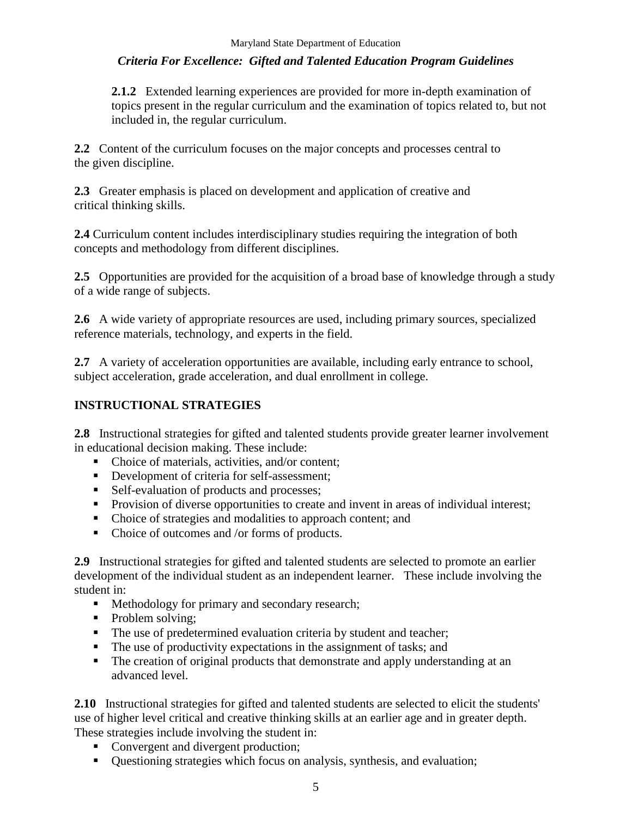**2.1.2** Extended learning experiences are provided for more in-depth examination of topics present in the regular curriculum and the examination of topics related to, but not included in, the regular curriculum.

**2.2** Content of the curriculum focuses on the major concepts and processes central to the given discipline.

**2.3** Greater emphasis is placed on development and application of creative and critical thinking skills.

**2.4** Curriculum content includes interdisciplinary studies requiring the integration of both concepts and methodology from different disciplines.

**2.5** Opportunities are provided for the acquisition of a broad base of knowledge through a study of a wide range of subjects.

**2.6** A wide variety of appropriate resources are used, including primary sources, specialized reference materials, technology, and experts in the field.

2.7 A variety of acceleration opportunities are available, including early entrance to school, subject acceleration, grade acceleration, and dual enrollment in college.

#### **INSTRUCTIONAL STRATEGIES**

**2.8** Instructional strategies for gifted and talented students provide greater learner involvement in educational decision making. These include:

- Choice of materials, activities, and/or content:
- Development of criteria for self-assessment;
- Self-evaluation of products and processes;
- **Provision of diverse opportunities to create and invent in areas of individual interest;**
- Choice of strategies and modalities to approach content; and
- Choice of outcomes and /or forms of products.

**2.9** Instructional strategies for gifted and talented students are selected to promote an earlier development of the individual student as an independent learner. These include involving the student in:

- **Methodology for primary and secondary research;**
- Problem solving;
- The use of predetermined evaluation criteria by student and teacher;
- The use of productivity expectations in the assignment of tasks; and
- The creation of original products that demonstrate and apply understanding at an advanced level.

**2.10** Instructional strategies for gifted and talented students are selected to elicit the students' use of higher level critical and creative thinking skills at an earlier age and in greater depth. These strategies include involving the student in:

- Convergent and divergent production;
- Questioning strategies which focus on analysis, synthesis, and evaluation;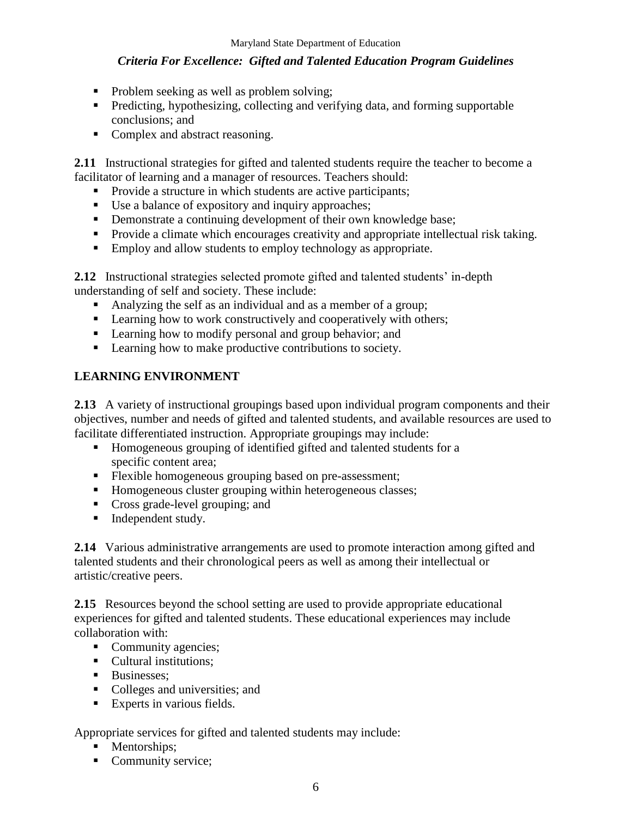- Problem seeking as well as problem solving;
- **Predicting, hypothesizing, collecting and verifying data, and forming supportable** conclusions; and
- Complex and abstract reasoning.

**2.11** Instructional strategies for gifted and talented students require the teacher to become a facilitator of learning and a manager of resources. Teachers should:

- **Provide a structure in which students are active participants;**
- Use a balance of expository and inquiry approaches;
- Demonstrate a continuing development of their own knowledge base;
- **Provide a climate which encourages creativity and appropriate intellectual risk taking.**
- **Employ and allow students to employ technology as appropriate.**

**2.12** Instructional strategies selected promote gifted and talented students' in-depth understanding of self and society. These include:

- Analyzing the self as an individual and as a member of a group;
- **Examing how to work constructively and cooperatively with others;**
- **Learning how to modify personal and group behavior; and**
- Learning how to make productive contributions to society.

#### **LEARNING ENVIRONMENT**

**2.13** A variety of instructional groupings based upon individual program components and their objectives, number and needs of gifted and talented students, and available resources are used to facilitate differentiated instruction. Appropriate groupings may include:

- Homogeneous grouping of identified gifted and talented students for a specific content area;
- **Flexible homogeneous grouping based on pre-assessment;**
- Homogeneous cluster grouping within heterogeneous classes;
- Cross grade-level grouping; and
- Independent study.

**2.14** Various administrative arrangements are used to promote interaction among gifted and talented students and their chronological peers as well as among their intellectual or artistic/creative peers.

**2.15** Resources beyond the school setting are used to provide appropriate educational experiences for gifted and talented students. These educational experiences may include collaboration with:

- Community agencies;
- Cultural institutions:
- **Businesses**;
- Colleges and universities; and
- Experts in various fields.

Appropriate services for gifted and talented students may include:

- Mentorships;
- Community service;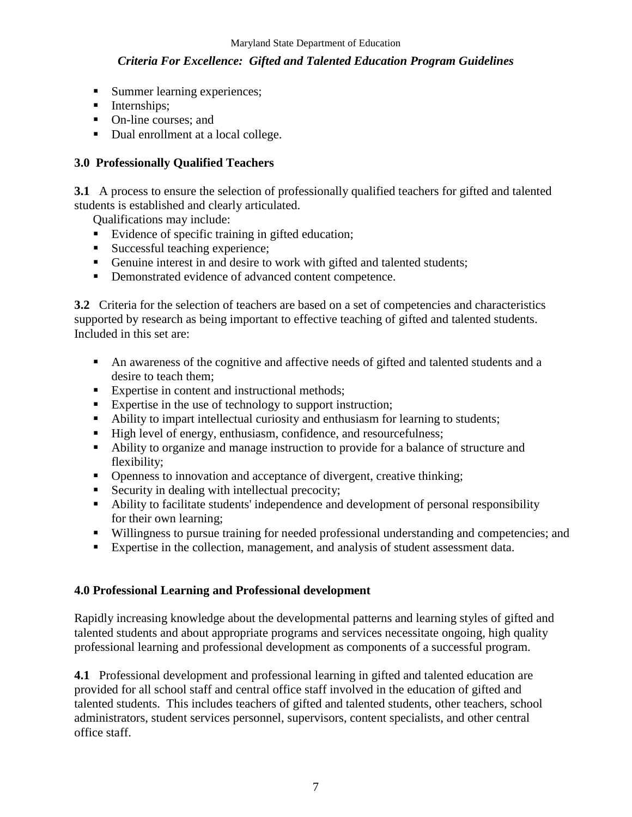- **Summer learning experiences;**
- **Internships**;
- On-line courses; and
- Dual enrollment at a local college.

#### **3.0 Professionally Qualified Teachers**

**3.1** A process to ensure the selection of professionally qualified teachers for gifted and talented students is established and clearly articulated.

Qualifications may include:

- Evidence of specific training in gifted education;
- Successful teaching experience;
- Genuine interest in and desire to work with gifted and talented students;
- Demonstrated evidence of advanced content competence.

**3.2** Criteria for the selection of teachers are based on a set of competencies and characteristics supported by research as being important to effective teaching of gifted and talented students. Included in this set are:

- An awareness of the cognitive and affective needs of gifted and talented students and a desire to teach them;
- Expertise in content and instructional methods;
- Expertise in the use of technology to support instruction;
- Ability to impart intellectual curiosity and enthusiasm for learning to students;
- High level of energy, enthusiasm, confidence, and resourcefulness;
- Ability to organize and manage instruction to provide for a balance of structure and flexibility;
- Openness to innovation and acceptance of divergent, creative thinking;
- Security in dealing with intellectual precocity;
- Ability to facilitate students' independence and development of personal responsibility for their own learning;
- Willingness to pursue training for needed professional understanding and competencies; and
- Expertise in the collection, management, and analysis of student assessment data.

## **4.0 Professional Learning and Professional development**

Rapidly increasing knowledge about the developmental patterns and learning styles of gifted and talented students and about appropriate programs and services necessitate ongoing, high quality professional learning and professional development as components of a successful program.

**4.1** Professional development and professional learning in gifted and talented education are provided for all school staff and central office staff involved in the education of gifted and talented students. This includes teachers of gifted and talented students, other teachers, school administrators, student services personnel, supervisors, content specialists, and other central office staff.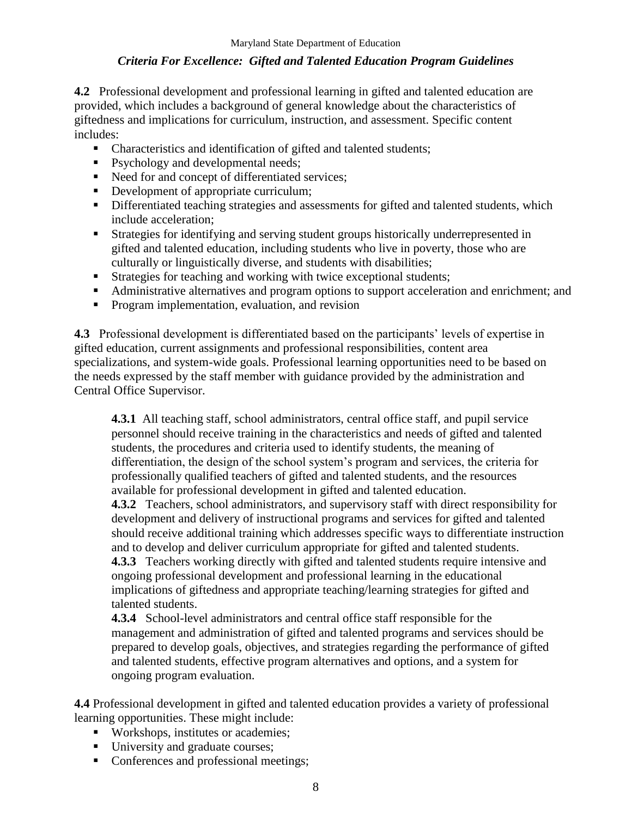**4.2** Professional development and professional learning in gifted and talented education are provided, which includes a background of general knowledge about the characteristics of giftedness and implications for curriculum, instruction, and assessment. Specific content includes:

- Characteristics and identification of gifted and talented students;
- Psychology and developmental needs;
- Need for and concept of differentiated services;
- Development of appropriate curriculum;
- Differentiated teaching strategies and assessments for gifted and talented students, which include acceleration;
- Strategies for identifying and serving student groups historically underrepresented in gifted and talented education, including students who live in poverty, those who are culturally or linguistically diverse, and students with disabilities;
- Strategies for teaching and working with twice exceptional students;
- Administrative alternatives and program options to support acceleration and enrichment; and
- **Program implementation, evaluation, and revision**

**4.3** Professional development is differentiated based on the participants' levels of expertise in gifted education, current assignments and professional responsibilities, content area specializations, and system-wide goals. Professional learning opportunities need to be based on the needs expressed by the staff member with guidance provided by the administration and Central Office Supervisor.

**4.3.1** All teaching staff, school administrators, central office staff, and pupil service personnel should receive training in the characteristics and needs of gifted and talented students, the procedures and criteria used to identify students, the meaning of differentiation, the design of the school system's program and services, the criteria for professionally qualified teachers of gifted and talented students, and the resources available for professional development in gifted and talented education.

**4.3.2** Teachers, school administrators, and supervisory staff with direct responsibility for development and delivery of instructional programs and services for gifted and talented should receive additional training which addresses specific ways to differentiate instruction and to develop and deliver curriculum appropriate for gifted and talented students.

**4.3.3** Teachers working directly with gifted and talented students require intensive and ongoing professional development and professional learning in the educational implications of giftedness and appropriate teaching/learning strategies for gifted and talented students.

**4.3.4** School-level administrators and central office staff responsible for the management and administration of gifted and talented programs and services should be prepared to develop goals, objectives, and strategies regarding the performance of gifted and talented students, effective program alternatives and options, and a system for ongoing program evaluation.

**4.4** Professional development in gifted and talented education provides a variety of professional learning opportunities. These might include:

- Workshops, institutes or academies;
- University and graduate courses;
- Conferences and professional meetings;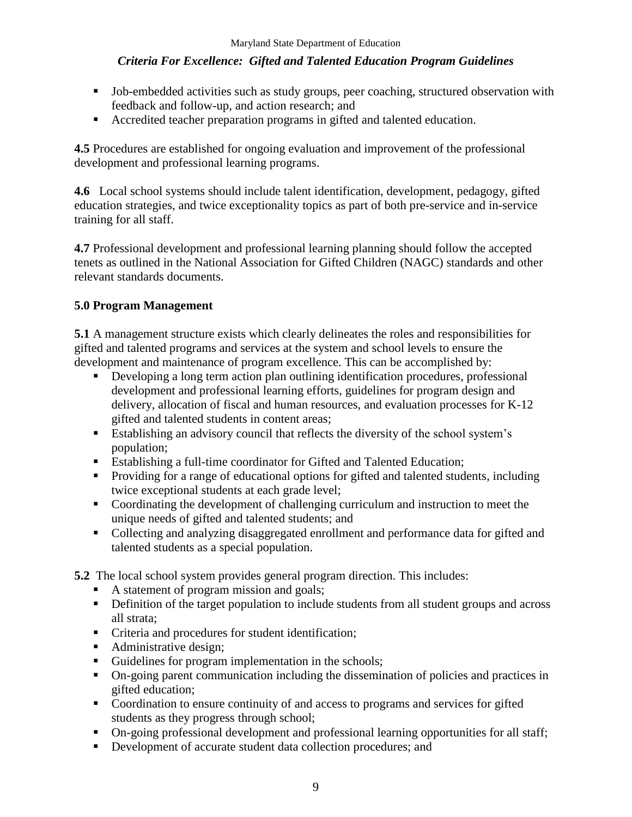- Job-embedded activities such as study groups, peer coaching, structured observation with feedback and follow-up, and action research; and
- Accredited teacher preparation programs in gifted and talented education.

**4.5** Procedures are established for ongoing evaluation and improvement of the professional development and professional learning programs.

**4.6** Local school systems should include talent identification, development, pedagogy, gifted education strategies, and twice exceptionality topics as part of both pre-service and in-service training for all staff.

**4.7** Professional development and professional learning planning should follow the accepted tenets as outlined in the National Association for Gifted Children (NAGC) standards and other relevant standards documents.

#### **5.0 Program Management**

**5.1** A management structure exists which clearly delineates the roles and responsibilities for gifted and talented programs and services at the system and school levels to ensure the development and maintenance of program excellence. This can be accomplished by:

- Developing a long term action plan outlining identification procedures, professional development and professional learning efforts, guidelines for program design and delivery, allocation of fiscal and human resources, and evaluation processes for K-12 gifted and talented students in content areas;
- **Establishing an advisory council that reflects the diversity of the school system's** population;
- Establishing a full-time coordinator for Gifted and Talented Education;
- Providing for a range of educational options for gifted and talented students, including twice exceptional students at each grade level;
- Coordinating the development of challenging curriculum and instruction to meet the unique needs of gifted and talented students; and
- Collecting and analyzing disaggregated enrollment and performance data for gifted and talented students as a special population.

**5.2** The local school system provides general program direction. This includes:

- A statement of program mission and goals;
- Definition of the target population to include students from all student groups and across all strata;
- Criteria and procedures for student identification;
- Administrative design;
- Guidelines for program implementation in the schools;
- On-going parent communication including the dissemination of policies and practices in gifted education;
- Coordination to ensure continuity of and access to programs and services for gifted students as they progress through school;
- On-going professional development and professional learning opportunities for all staff;
- Development of accurate student data collection procedures; and